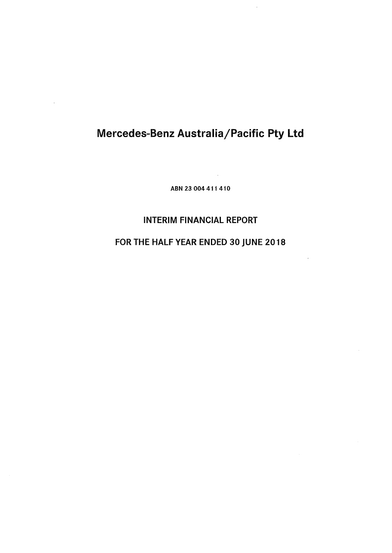$\overline{\phantom{a}}$ 

ABN 23 004 4 11 410

# INTERIM FINANCIAL REPORT

# FOR THE HALF YEAR ENDED 30 JUNE 2018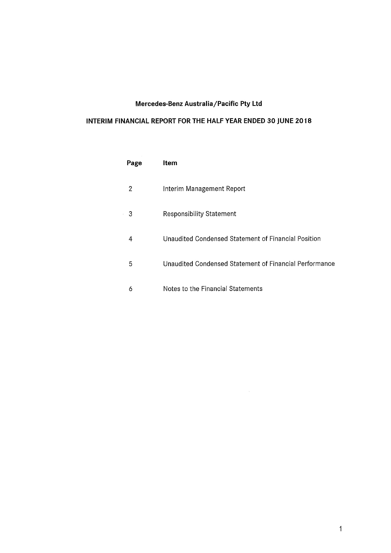# **INTERIM FINANCIAL REPORT FOR THE HALF YEAR ENDED 30 JUNE 2018**

| Page | ltem                                                   |
|------|--------------------------------------------------------|
| 2    | Interim Management Report                              |
| 3    | <b>Responsibility Statement</b>                        |
| 4    | Unaudited Condensed Statement of Financial Position    |
| 5    | Unaudited Condensed Statement of Financial Performance |
| 6    | Notes to the Financial Statements                      |

 $\sim 10^{-1}$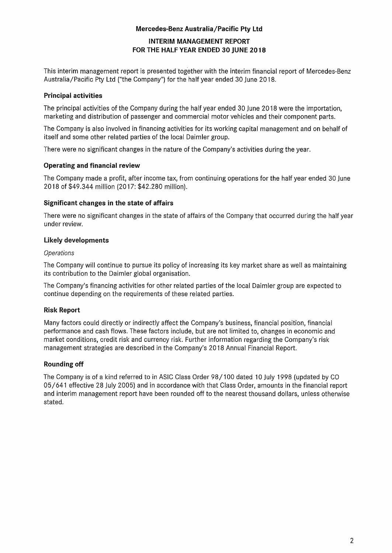# **INTERIM MANAGEMENT REPORT FOR THE HALF YEAR ENDED 30 JUNE 2018**

This interim management report is presented together with the interim financial report of Mercedes-Benz Australia/Pacific Pty Ltd ("the Company") for the half year ended 30 June 2018.

## **Principal activities**

The principal activities of the Company during the half year ended 30 June 2018 were the importation, marketing and distribution of passenger and commercial motor vehicles and their component parts.

The Company is also involved in financing activities for its working capital management and on behalf of itself and some other related parties of the local Daimler group.

There were no significant changes in the nature of the Company's activities during the year.

### **Operating and financial review**

The Company made a profit, after income tax, from continuing operations for the half year ended 30 June 2018 of \$49.344 million (2017: \$42.280 million).

# **Significant changes in the state of affairs**

There were no significant changes in the state of affairs of the Company that occurred during the half year under review.

# **Likely developments**

#### *Operations*

The Company will continue to pursue its policy of increasing its key market share as well as maintaining its contribution to the Daimler global organisation.

The Company's financing activities for other related parties of the local Daimler group are expected to continue depending on the requirements of these related parties.

# **Risk Report**

Many factors could directly or indirectly affect the Company's business, financial position, financial performance and cash flows. These factors include, but are not limited to, changes in economic and market conditions, credit risk and currency risk. Further information regarding the Company's risk management strategies are described in the Company's 2018 Annual Financial Report.

# **Rounding off**

The Company is of a kind referred to in ASIC Class Order 98/100 dated 10 July 1998 (updated by CO 05/641 effective 28 July 2005) and in accordance with that Class Order, amounts in the financial report and interim management report have been rounded off to the nearest thousand dollars, unless otherwise stated.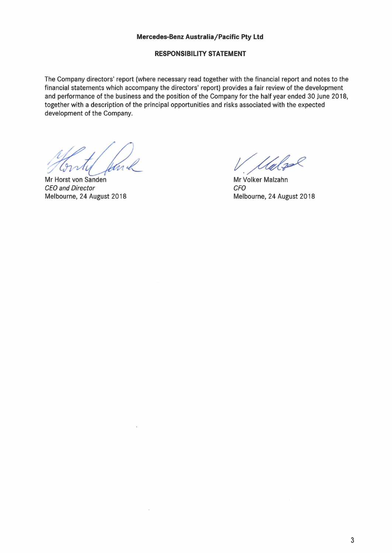#### **RESPONSIBILITY STATEMENT**

The Company directors' report (where necessary read together with the financial report and notes to the financial statements which accompany the directors' report) provides a fair review of the development and performance of the business and the position of the Company for the half year ended 30 June 2018, together with a description of the principal opportunities and risks associated with the expected development of the Company.

Mr Horst von Sanden CEO and Director Melbourne, 24 August 2018

Mr Volker Malzahn CFO Melbourne, 24 August 2018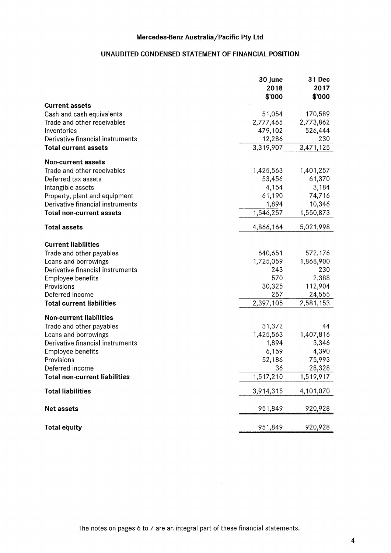# **UNAUDITED CONDENSED STATEMENT OF FINANCIAL POSITION**

|                                      | 30 June<br>2018<br>\$'000 | 31 Dec<br>2017<br>\$'000 |
|--------------------------------------|---------------------------|--------------------------|
| <b>Current assets</b>                |                           |                          |
| Cash and cash equivalents            | 51,054                    | 170,589                  |
| Trade and other receivables          | 2,777,465                 | 2,773,862                |
| Inventories                          | 479,102                   | 526,444                  |
| Derivative financial instruments     | 12,286                    | 230                      |
| <b>Total current assets</b>          | 3,319,907                 | 3,471,125                |
| <b>Non-current assets</b>            |                           |                          |
| Trade and other receivables          | 1,425,563                 | 1,401,257                |
| Deferred tax assets                  | 53,456                    | 61,370                   |
| Intangible assets                    | 4,154                     | 3,184                    |
| Property, plant and equipment        | 61,190                    | 74,716                   |
| Derivative financial instruments     | 1,894                     | 10,346                   |
| <b>Total non-current assets</b>      | 1,546,257                 | 1,550,873                |
| <b>Total assets</b>                  | 4,866,164                 | 5,021,998                |
| <b>Current liabilities</b>           |                           |                          |
| Trade and other payables             | 640,651                   | 572,176                  |
| Loans and borrowings                 | 1,725,059                 | 1,868,900                |
| Derivative financial instruments     | 243                       | 230                      |
| <b>Employee benefits</b>             | 570                       | 2,388                    |
| Provisions                           | 30,325                    | 112,904                  |
| Deferred income                      | 257                       | 24,555                   |
| <b>Total current liabilities</b>     | 2,397,105                 | 2,581,153                |
| <b>Non-current liabilities</b>       |                           |                          |
| Trade and other payables             | 31,372                    | 44                       |
| Loans and borrowings                 | 1,425,563                 | 1,407,816                |
| Derivative financial instruments     | 1,894                     | 3,346                    |
| <b>Employee benefits</b>             | 6,159                     | 4,390                    |
| Provisions                           | 52,186                    | 75,993                   |
| Deferred income                      | 36                        | 28,328                   |
| <b>Total non-current liabilities</b> | 1,517,210                 | 1,519,917                |
| <b>Total liabilities</b>             | 3,914,315                 | 4,101,070                |
| <b>Net assets</b>                    | 951,849                   | 920,928                  |
| <b>Total equity</b>                  | 951,849                   | 920,928                  |

The notes on pages 6 to 7 are an integral part of these financial statements.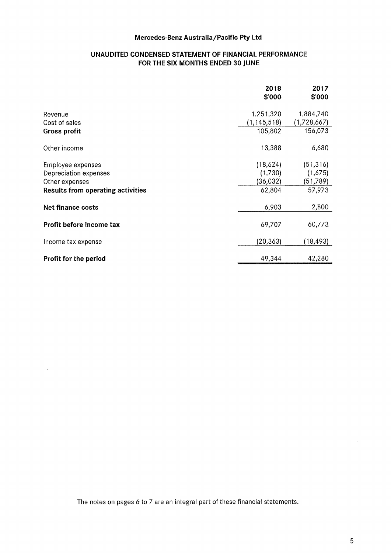### **UNAUDITED CONDENSED STATEMENT OF FINANCIAL PERFORMANCE FOR THE SIX MONTHS ENDED 30 JUNE**

|                                          | 2018<br>\$'000 | 2017<br>\$'000 |
|------------------------------------------|----------------|----------------|
| Revenue                                  | 1,251,320      | 1,884,740      |
| Cost of sales                            | (1, 145, 518)  | (1,728,667)    |
| Gross profit                             | 105,802        | 156,073        |
| Other income                             | 13,388         | 6,680          |
| <b>Employee expenses</b>                 | (18,624)       | (51, 316)      |
| Depreciation expenses                    | (1,730)        | (1,675)        |
| Other expenses                           | (36,032)       | (51, 789)      |
| <b>Results from operating activities</b> | 62,804         | 57,973         |
| Net finance costs                        | 6,903          | 2,800          |
| Profit before income tax                 | 69,707         | 60,773         |
| Income tax expense                       | (20, 363)      | (18,493)       |
| Profit for the period                    | 49,344         | 42,280         |

The notes on pages 6 to 7 are an integral part of these financial statements.

 $\bar{\epsilon}$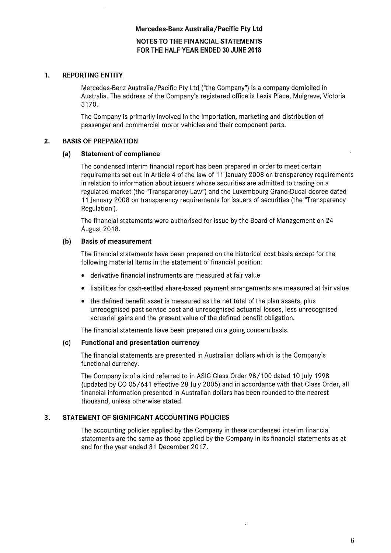**NOTES TO THE FINANCIAL STATEMENTS FOR THE HALF YEAR ENDED 30 JUNE 2018** 

#### **1. REPORTING ENTITY**

Mercedes-Benz Australia/Pacific Pty Ltd ("the Company") is a company domiciled in Australia. The address of the Company's registered office is Lexia Place, Mulgrave, Victoria 3170.

The Company is primarily involved in the importation, marketing and distribution of passenger and commercial motor vehicles and their component parts.

## **2. BASIS OF PREPARATION**

#### **(a} Statement of compliance**

The condensed interim financial report has been prepared in order to meet certain requirements set out in Article 4 of the law of 11 January 2008 on transparency requirements in relation to information about issuers whose securities are admitted to trading on a regulated market (the "Transparency Law") and the Luxembourg Grand-Ducal decree dated 11 January 2008 on transparency requirements for issuers of securities (the "Transparency Regulation').

The financial statements were authorised for issue by the Board of Management on 24 August 2018.

#### **(b} Basis of measurement**

The financial statements have been prepared on the historical cost basis except for the following material items in the statement of financial position:

- derivative financial instruments are measured at fair value
- liabilities for cash-settled share-based payment arrangements are measured at fair value
- the defined benefit asset is measured as the net total of the plan assets, plus unrecognised past service cost and unrecognised actuarial losses, less unrecognised actuarial gains and the present value of the defined benefit obligation.

The financial statements have been prepared on a going concern basis.

#### **(c) Functional and presentation currency**

The financial statements are presented in Australian dollars which is the Company's functional currency.

The Company is of a kind referred to in ASIC Class Order 98/100 dated 10 July 1998 (updated by CO 05/641 effective 28 July 2005) and in accordance with that Class Order, all financial information presented in Australian dollars has been rounded to the nearest thousand, unless otherwise stated.

#### **3. STATEMENT OF SIGNIFICANT ACCOUNTING POLICIES**

The accounting policies applied by the Company in these condensed interim financial statements are the same as those applied by the Company in its financial statements as at and for the year ended 31 December 2017.